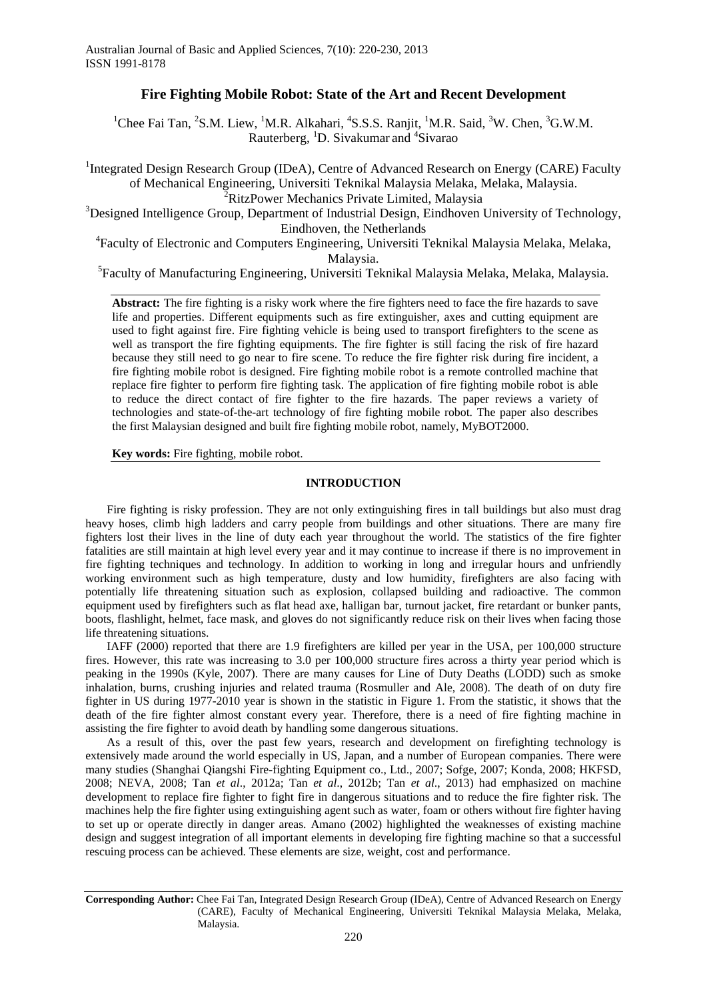# **Fire Fighting Mobile Robot: State of the Art and Recent Development**

<sup>1</sup>Chee Fai Tan, <sup>2</sup>S.M. Liew, <sup>1</sup>M.R. Alkahari, <sup>4</sup>S.S.S. Ranjit, <sup>1</sup>M.R. Said, <sup>3</sup>W. Chen, <sup>3</sup>G.W.M. Rauterberg, <sup>1</sup>D. Sivakumar and <sup>4</sup>Sivarao

<sup>1</sup>Integrated Design Research Group (IDeA), Centre of Advanced Research on Energy (CARE) Faculty of Mechanical Engineering, Universiti Teknikal Malaysia Melaka, Melaka, Malaysia. <sup>2</sup> <sup>2</sup>RitzPower Mechanics Private Limited, Malaysia

<sup>3</sup>Designed Intelligence Group, Department of Industrial Design, Eindhoven University of Technology, Eindhoven, the Netherlands

<sup>4</sup> Faculty of Electronic and Computers Engineering, Universiti Teknikal Malaysia Melaka, Melaka, Malaysia.

5 Faculty of Manufacturing Engineering, Universiti Teknikal Malaysia Melaka, Melaka, Malaysia.

**Abstract:** The fire fighting is a risky work where the fire fighters need to face the fire hazards to save life and properties. Different equipments such as fire extinguisher, axes and cutting equipment are used to fight against fire. Fire fighting vehicle is being used to transport firefighters to the scene as well as transport the fire fighting equipments. The fire fighter is still facing the risk of fire hazard because they still need to go near to fire scene. To reduce the fire fighter risk during fire incident, a fire fighting mobile robot is designed. Fire fighting mobile robot is a remote controlled machine that replace fire fighter to perform fire fighting task. The application of fire fighting mobile robot is able to reduce the direct contact of fire fighter to the fire hazards. The paper reviews a variety of technologies and state-of-the-art technology of fire fighting mobile robot. The paper also describes the first Malaysian designed and built fire fighting mobile robot, namely, MyBOT2000.

**Key words:** Fire fighting, mobile robot.

#### **INTRODUCTION**

Fire fighting is risky profession. They are not only extinguishing fires in tall buildings but also must drag heavy hoses, climb high ladders and carry people from buildings and other situations. There are many fire fighters lost their lives in the line of duty each year throughout the world. The statistics of the fire fighter fatalities are still maintain at high level every year and it may continue to increase if there is no improvement in fire fighting techniques and technology. In addition to working in long and irregular hours and unfriendly working environment such as high temperature, dusty and low humidity, firefighters are also facing with potentially life threatening situation such as explosion, collapsed building and radioactive. The common equipment used by firefighters such as flat head axe, halligan bar, turnout jacket, fire retardant or bunker pants, boots, flashlight, helmet, face mask, and gloves do not significantly reduce risk on their lives when facing those life threatening situations.

IAFF (2000) reported that there are 1.9 firefighters are killed per year in the USA, per 100,000 structure fires. However, this rate was increasing to 3.0 per 100,000 structure fires across a thirty year period which is peaking in the 1990s (Kyle, 2007). There are many causes for Line of Duty Deaths (LODD) such as smoke inhalation, burns, crushing injuries and related trauma (Rosmuller and Ale, 2008). The death of on duty fire fighter in US during 1977-2010 year is shown in the statistic in Figure 1. From the statistic, it shows that the death of the fire fighter almost constant every year. Therefore, there is a need of fire fighting machine in assisting the fire fighter to avoid death by handling some dangerous situations.

As a result of this, over the past few years, research and development on firefighting technology is extensively made around the world especially in US, Japan, and a number of European companies. There were many studies (Shanghai Qiangshi Fire-fighting Equipment co., Ltd., 2007; Sofge, 2007; Konda, 2008; HKFSD, 2008; NEVA, 2008; Tan *et al*., 2012a; Tan *et al*., 2012b; Tan *et al*., 2013) had emphasized on machine development to replace fire fighter to fight fire in dangerous situations and to reduce the fire fighter risk. The machines help the fire fighter using extinguishing agent such as water, foam or others without fire fighter having to set up or operate directly in danger areas. Amano (2002) highlighted the weaknesses of existing machine design and suggest integration of all important elements in developing fire fighting machine so that a successful rescuing process can be achieved. These elements are size, weight, cost and performance.

**Corresponding Author:** Chee Fai Tan, Integrated Design Research Group (IDeA), Centre of Advanced Research on Energy (CARE), Faculty of Mechanical Engineering, Universiti Teknikal Malaysia Melaka, Melaka, Malaysia.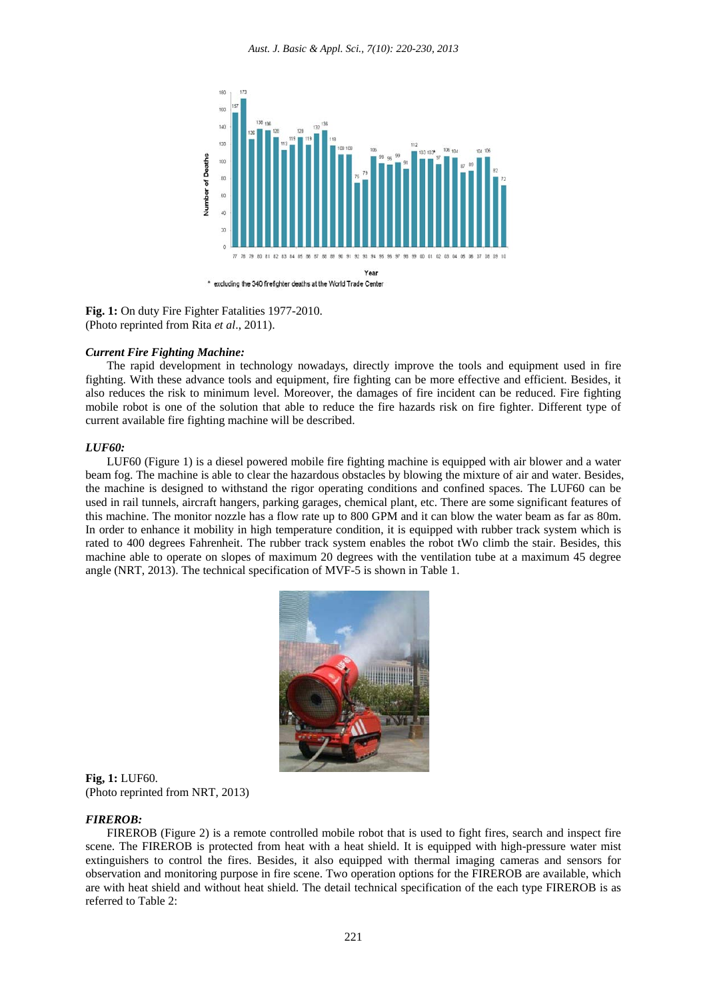

**Fig. 1:** On duty Fire Fighter Fatalities 1977-2010. (Photo reprinted from Rita *et al*., 2011).

#### *Current Fire Fighting Machine:*

The rapid development in technology nowadays, directly improve the tools and equipment used in fire fighting. With these advance tools and equipment, fire fighting can be more effective and efficient. Besides, it also reduces the risk to minimum level. Moreover, the damages of fire incident can be reduced. Fire fighting mobile robot is one of the solution that able to reduce the fire hazards risk on fire fighter. Different type of current available fire fighting machine will be described.

# *LUF60:*

LUF60 (Figure 1) is a diesel powered mobile fire fighting machine is equipped with air blower and a water beam fog. The machine is able to clear the hazardous obstacles by blowing the mixture of air and water. Besides, the machine is designed to withstand the rigor operating conditions and confined spaces. The LUF60 can be used in rail tunnels, aircraft hangers, parking garages, chemical plant, etc. There are some significant features of this machine. The monitor nozzle has a flow rate up to 800 GPM and it can blow the water beam as far as 80m. In order to enhance it mobility in high temperature condition, it is equipped with rubber track system which is rated to 400 degrees Fahrenheit. The rubber track system enables the robot tWo climb the stair. Besides, this machine able to operate on slopes of maximum 20 degrees with the ventilation tube at a maximum 45 degree angle (NRT, 2013). The technical specification of MVF-5 is shown in Table 1.



**Fig, 1:** LUF60. (Photo reprinted from NRT, 2013)

#### *FIREROB:*

FIREROB (Figure 2) is a remote controlled mobile robot that is used to fight fires, search and inspect fire scene. The FIREROB is protected from heat with a heat shield. It is equipped with high-pressure water mist extinguishers to control the fires. Besides, it also equipped with thermal imaging cameras and sensors for observation and monitoring purpose in fire scene. Two operation options for the FIREROB are available, which are with heat shield and without heat shield. The detail technical specification of the each type FIREROB is as referred to Table 2: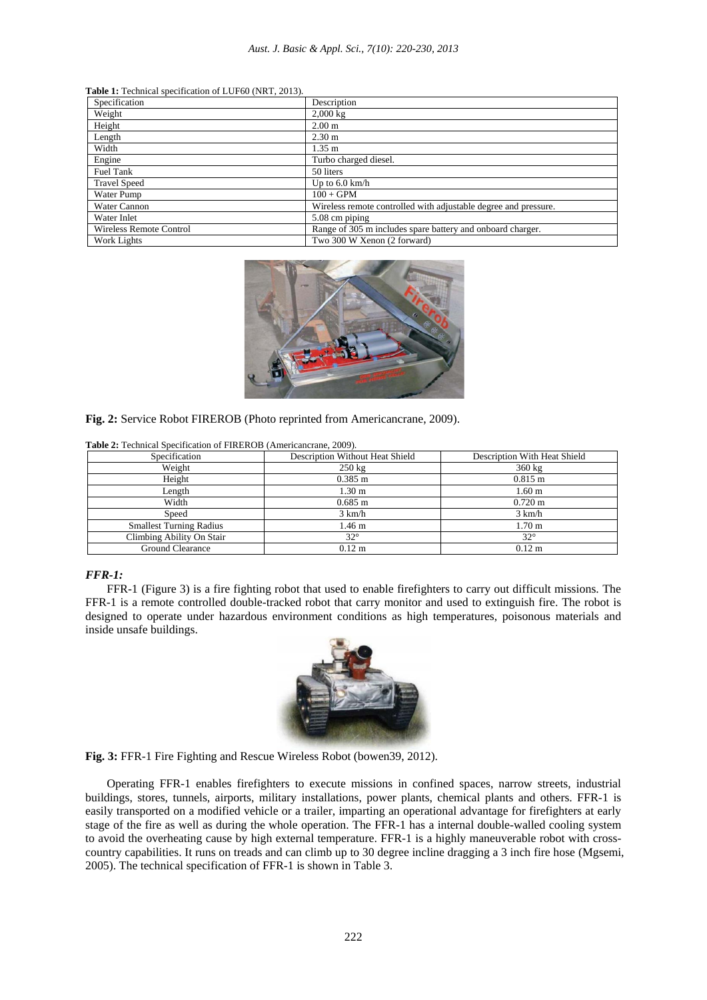| <b>Table 1:</b> Technical specification of LUF60 (NRT, 2013). |  |
|---------------------------------------------------------------|--|
|---------------------------------------------------------------|--|

| Specification           | Description                                                     |
|-------------------------|-----------------------------------------------------------------|
| Weight                  | $2,000 \text{ kg}$                                              |
| Height                  | 2.00 <sub>m</sub>                                               |
| Length                  | $2.30 \text{ m}$                                                |
| Width                   | $1.35 \; \mathrm{m}$                                            |
| Engine                  | Turbo charged diesel.                                           |
| Fuel Tank               | 50 liters                                                       |
| <b>Travel Speed</b>     | Up to $6.0 \text{ km/h}$                                        |
| Water Pump              | $100 + GPM$                                                     |
| Water Cannon            | Wireless remote controlled with adjustable degree and pressure. |
| Water Inlet             | 5.08 cm piping                                                  |
| Wireless Remote Control | Range of 305 m includes spare battery and onboard charger.      |
| Work Lights             | Two 300 W Xenon (2 forward)                                     |



**Fig. 2:** Service Robot FIREROB (Photo reprinted from Americancrane, 2009).

**Table 2:** Technical Specification of FIREROB (Americancrane, 2009).

| Specification                  | Description Without Heat Shield | Description With Heat Shield |
|--------------------------------|---------------------------------|------------------------------|
| Weight                         | $250 \text{ kg}$                | $360 \text{ kg}$             |
| Height                         | $0.385$ m                       | $0.815 \text{ m}$            |
| Length                         | $1.30 \text{ m}$                | 1.60 <sub>m</sub>            |
| Width                          | $0.685 \; \mathrm{m}$           | $0.720 \text{ m}$            |
| Speed                          | $3 \text{ km/h}$                | $3 \text{ km/h}$             |
| <b>Smallest Turning Radius</b> | 1.46 <sub>m</sub>               | $1.70 \text{ m}$             |
| Climbing Ability On Stair      | $32^{\circ}$                    | $32^{\circ}$                 |
| Ground Clearance               | $0.12 \text{ m}$                | $0.12 \text{ m}$             |

#### *FFR-1:*

FFR-1 (Figure 3) is a fire fighting robot that used to enable firefighters to carry out difficult missions. The FFR-1 is a remote controlled double-tracked robot that carry monitor and used to extinguish fire. The robot is designed to operate under hazardous environment conditions as high temperatures, poisonous materials and inside unsafe buildings.



**Fig. 3:** FFR-1 Fire Fighting and Rescue Wireless Robot (bowen39, 2012).

Operating FFR-1 enables firefighters to execute missions in confined spaces, narrow streets, industrial buildings, stores, tunnels, airports, military installations, power plants, chemical plants and others. FFR-1 is easily transported on a modified vehicle or a trailer, imparting an operational advantage for firefighters at early stage of the fire as well as during the whole operation. The FFR-1 has a internal double-walled cooling system to avoid the overheating cause by high external temperature. FFR-1 is a highly maneuverable robot with crosscountry capabilities. It runs on treads and can climb up to 30 degree incline dragging a 3 inch fire hose (Mgsemi, 2005). The technical specification of FFR-1 is shown in Table 3.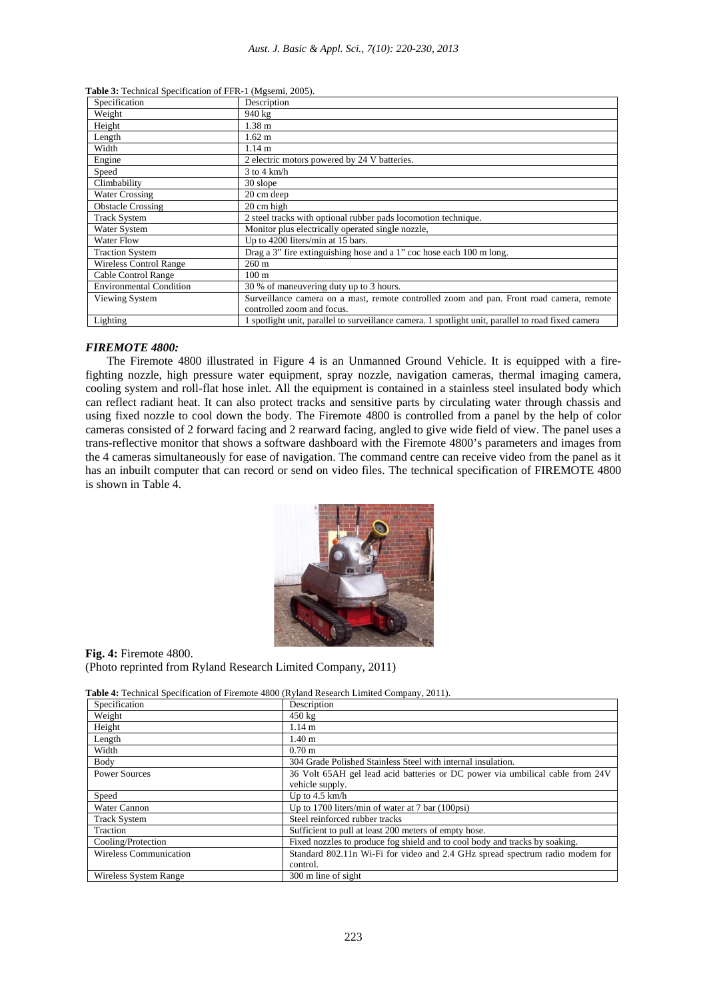| Specification                  | Description                                                                                        |
|--------------------------------|----------------------------------------------------------------------------------------------------|
| Weight                         | 940 kg                                                                                             |
| Height                         | 1.38 <sub>m</sub>                                                                                  |
| Length                         | $1.62 \text{ m}$                                                                                   |
| Width                          | 1.14 <sub>m</sub>                                                                                  |
| Engine                         | 2 electric motors powered by 24 V batteries.                                                       |
| Speed                          | $3$ to 4 km/h                                                                                      |
| Climbability                   | 30 slope                                                                                           |
| <b>Water Crossing</b>          | 20 cm deep                                                                                         |
| <b>Obstacle Crossing</b>       | 20 cm high                                                                                         |
| <b>Track System</b>            | 2 steel tracks with optional rubber pads locomotion technique.                                     |
| Water System                   | Monitor plus electrically operated single nozzle,                                                  |
| <b>Water Flow</b>              | Up to 4200 liters/min at 15 bars.                                                                  |
| <b>Traction System</b>         | Drag a 3" fire extinguishing hose and a 1" coc hose each 100 m long.                               |
| <b>Wireless Control Range</b>  | $260 \text{ m}$                                                                                    |
| Cable Control Range            | $100 \text{ m}$                                                                                    |
| <b>Environmental Condition</b> | 30 % of maneuvering duty up to 3 hours.                                                            |
| Viewing System                 | Surveillance camera on a mast, remote controlled zoom and pan. Front road camera, remote           |
|                                | controlled zoom and focus.                                                                         |
| Lighting                       | 1 spotlight unit, parallel to surveillance camera. 1 spotlight unit, parallel to road fixed camera |

**Table 3:** Technical Specification of FFR-1 (Mgsemi, 2005).

#### *FIREMOTE 4800:*

The Firemote 4800 illustrated in Figure 4 is an Unmanned Ground Vehicle. It is equipped with a firefighting nozzle, high pressure water equipment, spray nozzle, navigation cameras, thermal imaging camera, cooling system and roll-flat hose inlet. All the equipment is contained in a stainless steel insulated body which can reflect radiant heat. It can also protect tracks and sensitive parts by circulating water through chassis and using fixed nozzle to cool down the body. The Firemote 4800 is controlled from a panel by the help of color cameras consisted of 2 forward facing and 2 rearward facing, angled to give wide field of view. The panel uses a trans-reflective monitor that shows a software dashboard with the Firemote 4800's parameters and images from the 4 cameras simultaneously for ease of navigation. The command centre can receive video from the panel as it has an inbuilt computer that can record or send on video files. The technical specification of FIREMOTE 4800 is shown in Table 4.



**Fig. 4:** Firemote 4800. (Photo reprinted from Ryland Research Limited Company, 2011)

| Table 4: Technical Specification of Firemote 4800 (Ryland Research Limited Company, 2011). |  |
|--------------------------------------------------------------------------------------------|--|
|--------------------------------------------------------------------------------------------|--|

| Specification                 | Description                                                                   |
|-------------------------------|-------------------------------------------------------------------------------|
| Weight                        | $450 \text{ kg}$                                                              |
| Height                        | $1.14 \text{ m}$                                                              |
| Length                        | 1.40 <sub>m</sub>                                                             |
| Width                         | 0.70 <sub>m</sub>                                                             |
| Body                          | 304 Grade Polished Stainless Steel with internal insulation.                  |
| <b>Power Sources</b>          | 36 Volt 65AH gel lead acid batteries or DC power via umbilical cable from 24V |
|                               | vehicle supply.                                                               |
| Speed                         | Up to $4.5 \text{ km/h}$                                                      |
|                               |                                                                               |
| Water Cannon                  | Up to 1700 liters/min of water at 7 bar (100psi)                              |
| <b>Track System</b>           | Steel reinforced rubber tracks                                                |
| Traction                      | Sufficient to pull at least 200 meters of empty hose.                         |
| Cooling/Protection            | Fixed nozzles to produce fog shield and to cool body and tracks by soaking.   |
| <b>Wireless Communication</b> | Standard 802.11n Wi-Fi for video and 2.4 GHz spread spectrum radio modem for  |
|                               | control.                                                                      |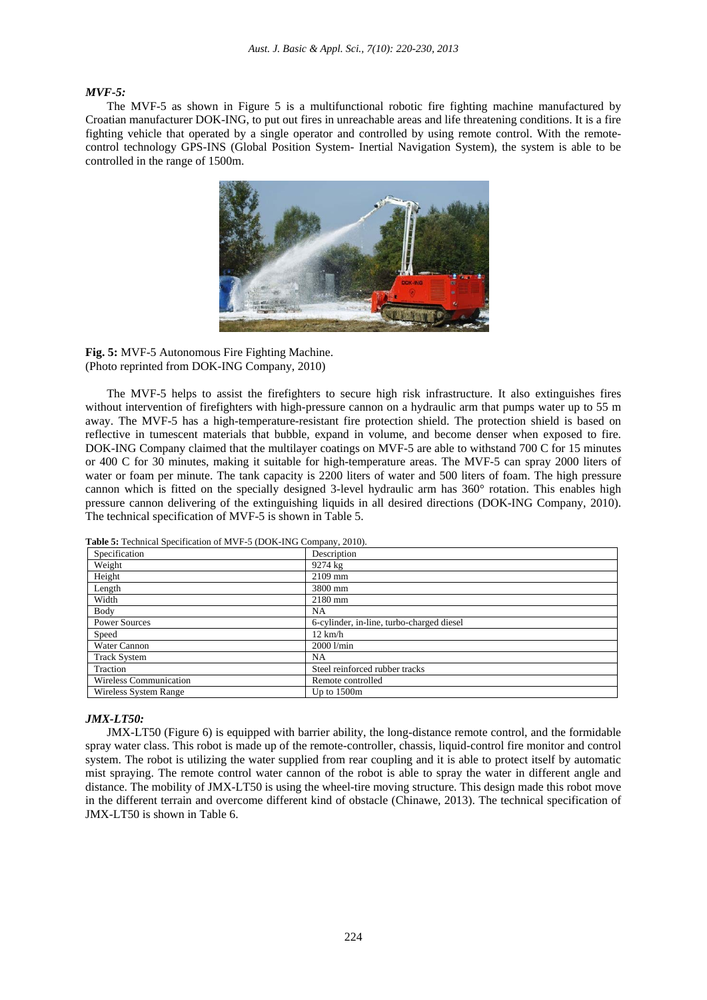# *MVF-5:*

The MVF-5 as shown in Figure 5 is a multifunctional robotic fire fighting machine manufactured by Croatian manufacturer DOK-ING, to put out fires in unreachable areas and life threatening conditions. It is a fire fighting vehicle that operated by a single operator and controlled by using remote control. With the remotecontrol technology GPS-INS (Global Position System- Inertial Navigation System), the system is able to be controlled in the range of 1500m.



**Fig. 5:** MVF-5 Autonomous Fire Fighting Machine. (Photo reprinted from DOK-ING Company, 2010)

The MVF-5 helps to assist the firefighters to secure high risk infrastructure. It also extinguishes fires without intervention of firefighters with high-pressure cannon on a hydraulic arm that pumps water up to 55 m away. The MVF-5 has a high-temperature-resistant fire protection shield. The protection shield is based on reflective in tumescent materials that bubble, expand in volume, and become denser when exposed to fire. DOK-ING Company claimed that the multilayer coatings on MVF-5 are able to withstand 700 C for 15 minutes or 400 C for 30 minutes, making it suitable for high-temperature areas. The MVF-5 can spray 2000 liters of water or foam per minute. The tank capacity is 2200 liters of water and 500 liters of foam. The high pressure cannon which is fitted on the specially designed 3-level hydraulic arm has 360° rotation. This enables high pressure cannon delivering of the extinguishing liquids in all desired directions (DOK-ING Company, 2010). The technical specification of MVF-5 is shown in Table 5.

| Specification          | Description                               |
|------------------------|-------------------------------------------|
| Weight                 | 9274 kg                                   |
| Height                 | $2109$ mm                                 |
| Length                 | 3800 mm                                   |
| Width                  | $2180$ mm                                 |
| Body                   | NA                                        |
| <b>Power Sources</b>   | 6-cylinder, in-line, turbo-charged diesel |
| Speed                  | $12 \text{ km/h}$                         |
| Water Cannon           | $2000$ $l/min$                            |
| <b>Track System</b>    | NA                                        |
| Traction               | Steel reinforced rubber tracks            |
| Wireless Communication | Remote controlled                         |
| Wireless System Range  | Up to $1500m$                             |

**Table 5:** Technical Specification of MVF-5 (DOK-ING Company, 2010).

#### *JMX-LT50:*

JMX-LT50 (Figure 6) is equipped with barrier ability, the long-distance remote control, and the formidable spray water class. This robot is made up of the remote-controller, chassis, liquid-control fire monitor and control system. The robot is utilizing the water supplied from rear coupling and it is able to protect itself by automatic mist spraying. The remote control water cannon of the robot is able to spray the water in different angle and distance. The mobility of JMX-LT50 is using the wheel-tire moving structure. This design made this robot move in the different terrain and overcome different kind of obstacle (Chinawe, 2013). The technical specification of JMX-LT50 is shown in Table 6.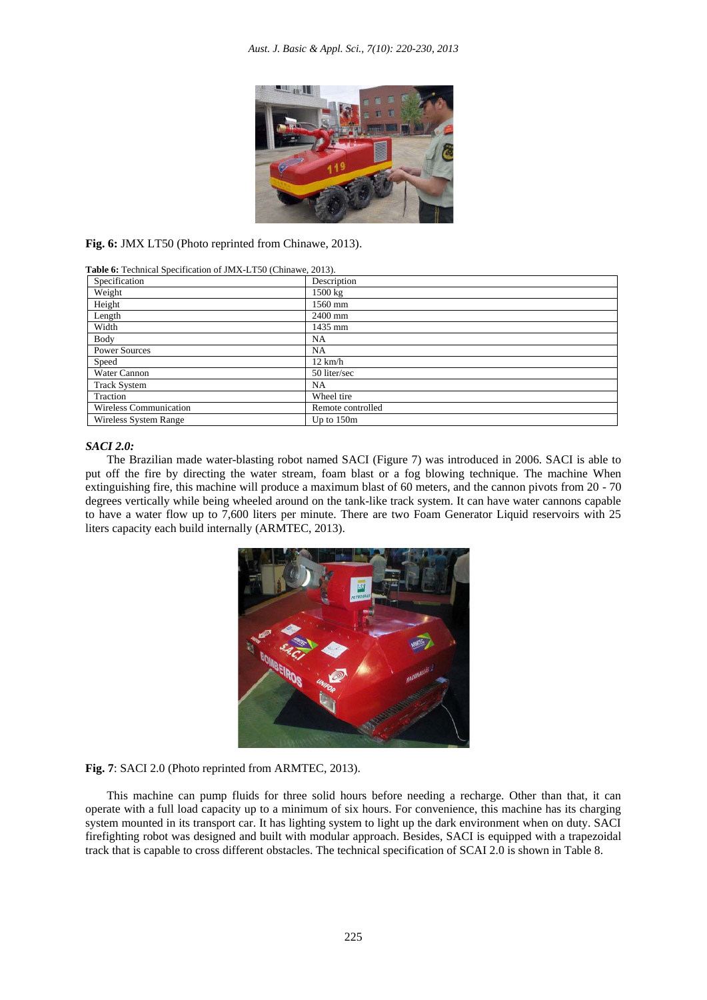

#### **Fig. 6:** JMX LT50 (Photo reprinted from Chinawe, 2013).

| <b>Table 6:</b> Technical Specification of JMX-LT50 (Chinawe, 2013). |  |
|----------------------------------------------------------------------|--|
|----------------------------------------------------------------------|--|

| Specification                | Description       |
|------------------------------|-------------------|
| Weight                       | 1500 kg           |
| Height                       | 1560 mm           |
| Length                       | $2400$ mm         |
| Width                        | 1435 mm           |
| Body                         | <b>NA</b>         |
| <b>Power Sources</b>         | <b>NA</b>         |
| Speed                        | $12 \text{ km/h}$ |
| Water Cannon                 | 50 liter/sec      |
| <b>Track System</b>          | <b>NA</b>         |
| Traction                     | Wheel tire        |
| Wireless Communication       | Remote controlled |
| <b>Wireless System Range</b> | Up to $150m$      |

#### *SACI 2.0:*

The Brazilian made water-blasting robot named SACI (Figure 7) was introduced in 2006. SACI is able to put off the fire by directing the water stream, foam blast or a fog blowing technique. The machine When extinguishing fire, this machine will produce a maximum blast of 60 meters, and the cannon pivots from 20 - 70 degrees vertically while being wheeled around on the tank-like track system. It can have water cannons capable to have a water flow up to 7,600 liters per minute. There are two Foam Generator Liquid reservoirs with 25 liters capacity each build internally (ARMTEC, 2013).



**Fig. 7**: SACI 2.0 (Photo reprinted from ARMTEC, 2013).

This machine can pump fluids for three solid hours before needing a recharge. Other than that, it can operate with a full load capacity up to a minimum of six hours. For convenience, this machine has its charging system mounted in its transport car. It has lighting system to light up the dark environment when on duty. SACI firefighting robot was designed and built with modular approach. Besides, SACI is equipped with a trapezoidal track that is capable to cross different obstacles. The technical specification of SCAI 2.0 is shown in Table 8.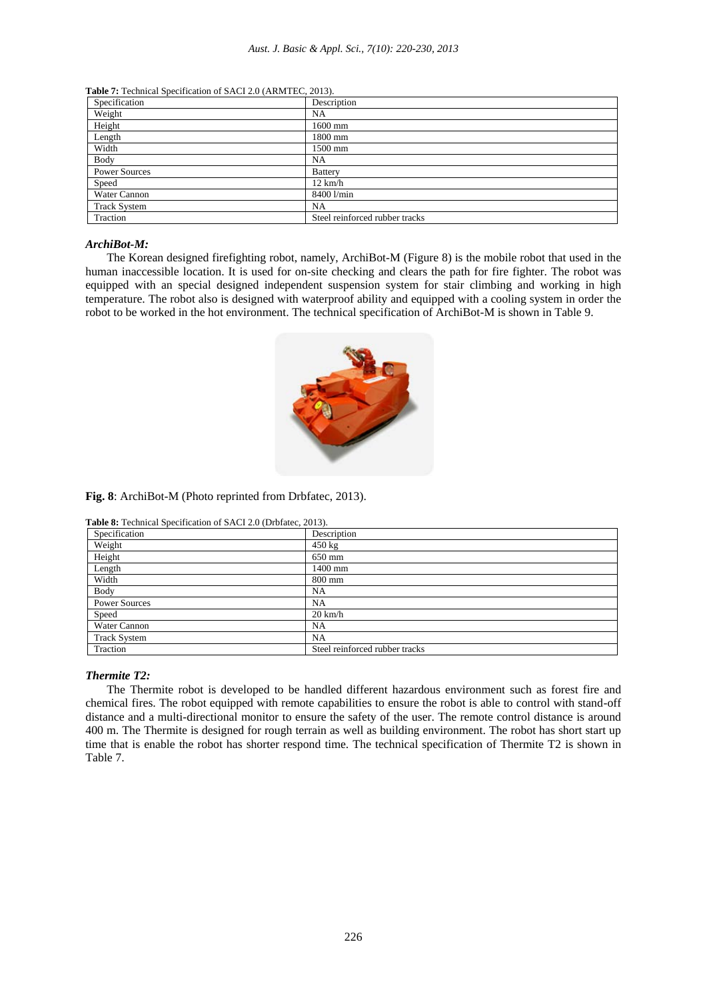| Specification        | Description                    |
|----------------------|--------------------------------|
| Weight               | <b>NA</b>                      |
| Height               | $1600$ mm                      |
| Length               | 1800 mm                        |
| Width                | 1500 mm                        |
| Body                 | <b>NA</b>                      |
| <b>Power Sources</b> | <b>Battery</b>                 |
| Speed                | $12 \text{ km/h}$              |
| Water Cannon         | 8400 l/min                     |
| <b>Track System</b>  | <b>NA</b>                      |
| Traction             | Steel reinforced rubber tracks |

**Table 7:** Technical Specification of SACI 2.0 (ARMTEC, 2013).

### *ArchiBot-M:*

The Korean designed firefighting robot, namely, ArchiBot-M (Figure 8) is the mobile robot that used in the human inaccessible location. It is used for on-site checking and clears the path for fire fighter. The robot was equipped with an special designed independent suspension system for stair climbing and working in high temperature. The robot also is designed with waterproof ability and equipped with a cooling system in order the robot to be worked in the hot environment. The technical specification of ArchiBot-M is shown in Table 9.



**Fig. 8**: ArchiBot-M (Photo reprinted from Drbfatec, 2013).

| Specification        | Description                    |
|----------------------|--------------------------------|
| Weight               | $450 \text{ kg}$               |
| Height               | 650 mm                         |
| Length               | 1400 mm                        |
| Width                | $800 \text{ mm}$               |
| Body                 | <b>NA</b>                      |
| <b>Power Sources</b> | NA                             |
| Speed                | $20 \text{ km/h}$              |
| Water Cannon         | <b>NA</b>                      |
| <b>Track System</b>  | <b>NA</b>                      |
| Traction             | Steel reinforced rubber tracks |

#### *Thermite T2:*

The Thermite robot is developed to be handled different hazardous environment such as forest fire and chemical fires. The robot equipped with remote capabilities to ensure the robot is able to control with stand-off distance and a multi-directional monitor to ensure the safety of the user. The remote control distance is around 400 m. The Thermite is designed for rough terrain as well as building environment. The robot has short start up time that is enable the robot has shorter respond time. The technical specification of Thermite T2 is shown in Table 7.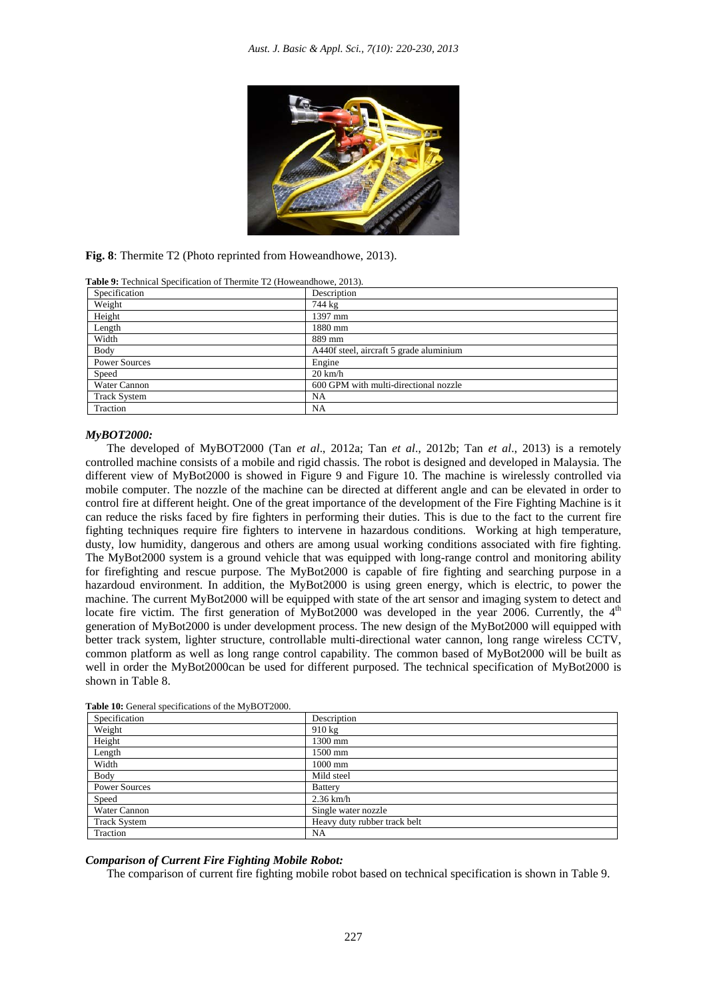

**Fig. 8**: Thermite T2 (Photo reprinted from Howeandhowe, 2013).

| Specification        | Description                             |
|----------------------|-----------------------------------------|
| Weight               | 744 kg                                  |
| Height               | 1397 mm                                 |
| Length               | 1880 mm                                 |
| Width                | 889 mm                                  |
| Body                 | A440f steel, aircraft 5 grade aluminium |
| <b>Power Sources</b> | Engine                                  |
| Speed                | $20 \text{ km/h}$                       |
| Water Cannon         | 600 GPM with multi-directional nozzle   |
| <b>Track System</b>  | NA                                      |
| Traction             | NA                                      |

**Table 9:** Technical Specification of Thermite T2 (Howeandhowe, 2013).

# *MyBOT2000:*

The developed of MyBOT2000 (Tan *et al*., 2012a; Tan *et al*., 2012b; Tan *et al*., 2013) is a remotely controlled machine consists of a mobile and rigid chassis. The robot is designed and developed in Malaysia. The different view of MyBot2000 is showed in Figure 9 and Figure 10. The machine is wirelessly controlled via mobile computer. The nozzle of the machine can be directed at different angle and can be elevated in order to control fire at different height. One of the great importance of the development of the Fire Fighting Machine is it can reduce the risks faced by fire fighters in performing their duties. This is due to the fact to the current fire fighting techniques require fire fighters to intervene in hazardous conditions. Working at high temperature, dusty, low humidity, dangerous and others are among usual working conditions associated with fire fighting. The MyBot2000 system is a ground vehicle that was equipped with long-range control and monitoring ability for firefighting and rescue purpose. The MyBot2000 is capable of fire fighting and searching purpose in a hazardoud environment. In addition, the MyBot2000 is using green energy, which is electric, to power the machine. The current MyBot2000 will be equipped with state of the art sensor and imaging system to detect and locate fire victim. The first generation of MyBot2000 was developed in the year 2006. Currently, the 4<sup>th</sup> generation of MyBot2000 is under development process. The new design of the MyBot2000 will equipped with better track system, lighter structure, controllable multi-directional water cannon, long range wireless CCTV, common platform as well as long range control capability. The common based of MyBot2000 will be built as well in order the MyBot2000can be used for different purposed. The technical specification of MyBot2000 is shown in Table 8.

| Specification        | Description                  |
|----------------------|------------------------------|
|                      |                              |
| Weight               | $910 \text{ kg}$             |
| Height               | 1300 mm                      |
| Length               | 1500 mm                      |
| Width                | $1000$ mm                    |
| Body                 | Mild steel                   |
| <b>Power Sources</b> | <b>Battery</b>               |
| Speed                | $2.36$ km/h                  |
| Water Cannon         | Single water nozzle          |
| <b>Track System</b>  | Heavy duty rubber track belt |
| Traction             | <b>NA</b>                    |

**Table 10:** General specifications of the MyBOT2000.

# *Comparison of Current Fire Fighting Mobile Robot:*

The comparison of current fire fighting mobile robot based on technical specification is shown in Table 9.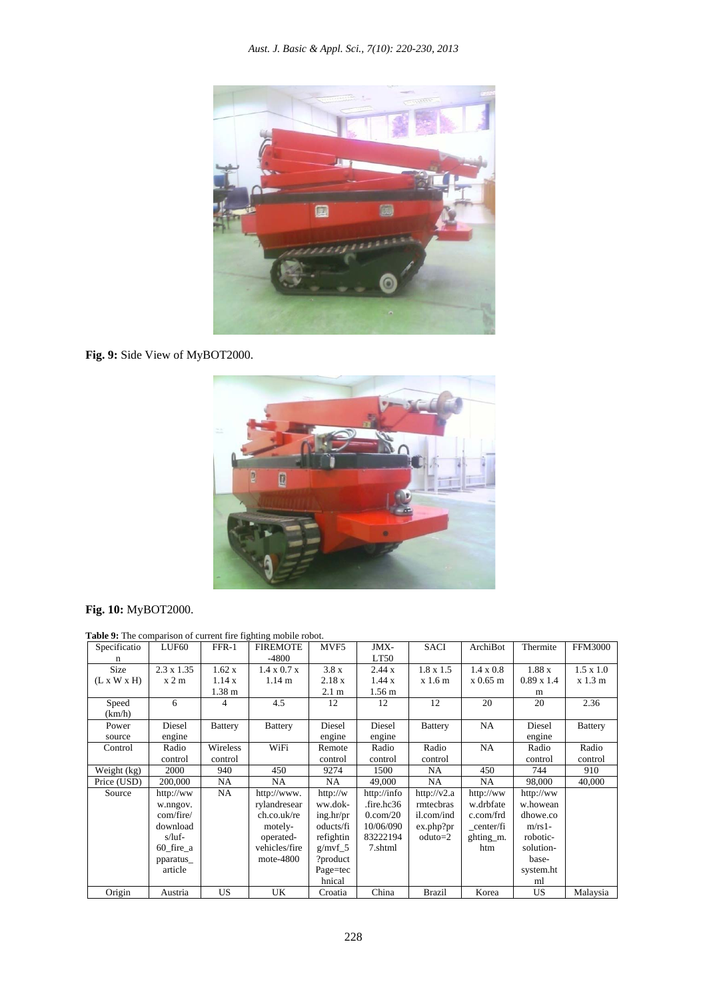

**Fig. 9:** Side View of MyBOT2000.



# **Fig. 10:** MyBOT2000.

**Table 9:** The comparison of current fire fighting mobile robot.

| Specificatio | LUF <sub>60</sub> | $FFR-1$           | <b>FIREMOTE</b>         | MVF5        | JMX-              | SACI             | ArchiBot         | Thermite          | <b>FFM3000</b>   |
|--------------|-------------------|-------------------|-------------------------|-------------|-------------------|------------------|------------------|-------------------|------------------|
| n            |                   |                   | -4800                   |             | LT50              |                  |                  |                   |                  |
| Size         | $2.3 \times 1.35$ | $1.62 \text{ x}$  | $1.4 \times 0.7 \times$ | 3.8x        | 2.44 x            | $1.8 \times 1.5$ | $1.4 \times 0.8$ | 1.88x             | $1.5 \times 1.0$ |
| (L x W x H)  | $x2$ m            | 1.14x             | $1.14 \text{ m}$        | 2.18x       | 1.44 x            | x 1.6 m          | $x\,0.65$ m      | $0.89 \times 1.4$ | x 1.3 m          |
|              |                   | 1.38 <sub>m</sub> |                         | 2.1 m       | 1.56 <sub>m</sub> |                  |                  | m                 |                  |
| Speed        | 6                 | 4                 | 4.5                     | 12          | 12                | 12               | 20               | 20                | 2.36             |
| (km/h)       |                   |                   |                         |             |                   |                  |                  |                   |                  |
| Power        | Diesel            | <b>Battery</b>    | <b>Battery</b>          | Diesel      | Diesel            | <b>Battery</b>   | <b>NA</b>        | Diesel            | <b>Battery</b>   |
| source       | engine            |                   |                         | engine      | engine            |                  |                  | engine            |                  |
| Control      | Radio             | Wireless          | WiFi                    | Remote      | Radio             | Radio            | <b>NA</b>        | Radio             | Radio            |
|              | control           | control           |                         | control     | control           | control          |                  | control           | control          |
| Weight (kg)  | 2000              | 940               | 450                     | 9274        | 1500              | NA.              | 450              | 744               | 910              |
| Price (USD)  | 200,000           | NA.               | NA                      | NA.         | 49,000            | NA.              | NA               | 98,000            | 40,000           |
| Source       | http://ww         | NA.               | http://www.             | http:// $w$ | http://info       | http://v2.a      | http://ww        | http://ww         |                  |
|              | w.nngov.          |                   | rylandresear            | ww.dok-     | $.$ fire.hc $36$  | rmtecbras        | w.drbfate        | w.howean          |                  |
|              | com/fire/         |                   | ch.co.uk/re             | ing/hr/pr   | $0.\text{com}/20$ | il.com/ind       | c.com/frd        | dhowe.co          |                  |
|              | download          |                   | motely-                 | oducts/fi   | 10/06/090         | ex.php?pr        | center/fi        | $m/rs1$ -         |                  |
|              | $s/luf-$          |                   | operated-               | refightin   | 83222194          | $oduto=2$        | ghting_m.        | robotic-          |                  |
|              | 60 fire a         |                   | vehicles/fire           | $g/mvf_5$   | 7.shtml           |                  | htm              | solution-         |                  |
|              | pparatus          |                   | mote- $4800$            | ?product    |                   |                  |                  | base-             |                  |
|              | article           |                   |                         | Page=tec    |                   |                  |                  | system.ht         |                  |
|              |                   |                   |                         | hnical      |                   |                  |                  | ml                |                  |
| Origin       | Austria           | US                | UK.                     | Croatia     | China             | <b>Brazil</b>    | Korea            | US                | Malaysia         |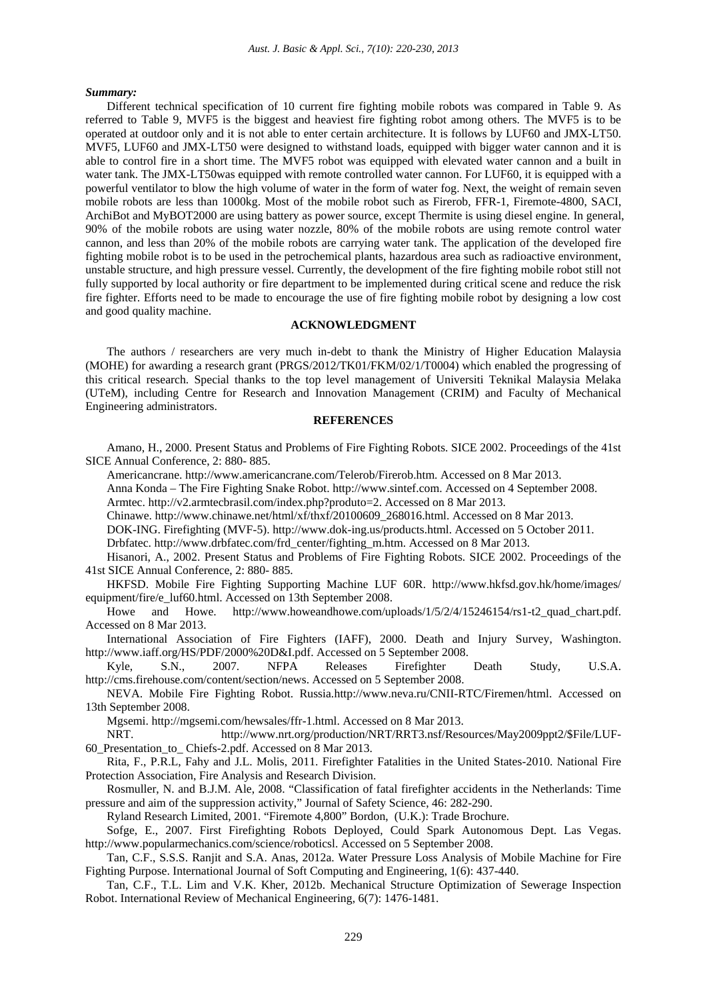#### *Summary:*

Different technical specification of 10 current fire fighting mobile robots was compared in Table 9. As referred to Table 9, MVF5 is the biggest and heaviest fire fighting robot among others. The MVF5 is to be operated at outdoor only and it is not able to enter certain architecture. It is follows by LUF60 and JMX-LT50. MVF5, LUF60 and JMX-LT50 were designed to withstand loads, equipped with bigger water cannon and it is able to control fire in a short time. The MVF5 robot was equipped with elevated water cannon and a built in water tank. The JMX-LT50was equipped with remote controlled water cannon. For LUF60, it is equipped with a powerful ventilator to blow the high volume of water in the form of water fog. Next, the weight of remain seven mobile robots are less than 1000kg. Most of the mobile robot such as Firerob, FFR-1, Firemote-4800, SACI, ArchiBot and MyBOT2000 are using battery as power source, except Thermite is using diesel engine. In general, 90% of the mobile robots are using water nozzle, 80% of the mobile robots are using remote control water cannon, and less than 20% of the mobile robots are carrying water tank. The application of the developed fire fighting mobile robot is to be used in the petrochemical plants, hazardous area such as radioactive environment, unstable structure, and high pressure vessel. Currently, the development of the fire fighting mobile robot still not fully supported by local authority or fire department to be implemented during critical scene and reduce the risk fire fighter. Efforts need to be made to encourage the use of fire fighting mobile robot by designing a low cost and good quality machine.

# **ACKNOWLEDGMENT**

The authors / researchers are very much in-debt to thank the Ministry of Higher Education Malaysia (MOHE) for awarding a research grant (PRGS/2012/TK01/FKM/02/1/T0004) which enabled the progressing of this critical research. Special thanks to the top level management of Universiti Teknikal Malaysia Melaka (UTeM), including Centre for Research and Innovation Management (CRIM) and Faculty of Mechanical Engineering administrators.

# **REFERENCES**

Amano, H., 2000. Present Status and Problems of Fire Fighting Robots. SICE 2002. Proceedings of the 41st SICE Annual Conference, 2: 880- 885.

Americancrane. http://www.americancrane.com/Telerob/Firerob.htm. Accessed on 8 Mar 2013.

Anna Konda – The Fire Fighting Snake Robot. [http://www.sintef.com.](http://www.sintef.com/) Accessed on 4 September 2008.

Armtec. http://v2.armtecbrasil.com/index.php?produto=2. Accessed on 8 Mar 2013.

Chinawe. http://www.chinawe.net/html/xf/thxf/20100609\_268016.html. Accessed on 8 Mar 2013.

DOK-ING. Firefighting (MVF-5). http://www.dok-ing.us/products.html. Accessed on 5 October 2011.

Drbfatec. http://www.drbfatec.com/frd\_center/fighting\_m.htm. Accessed on 8 Mar 2013.

Hisanori, A., 2002. Present Status and Problems of Fire Fighting Robots. SICE 2002. Proceedings of the 41st SICE Annual Conference, 2: 880- 885.

HKFSD. Mobile Fire Fighting Supporting Machine LUF 60R. http://www.hkfsd.gov.hk/home/images/ equipment/fire/e\_luf60.html. Accessed on 13th September 2008.

Howe and Howe. http://www.howeandhowe.com/uploads/1/5/2/4/15246154/rs1-t2 quad chart.pdf. Accessed on 8 Mar 2013.

International Association of Fire Fighters (IAFF), 2000. Death and Injury Survey, Washington. [http://www.iaff.org/HS/PDF/2000%20D&I.pdf.](http://www.iaff.org/HS/PDF/2000%20D&I.pdf) Accessed on 5 September 2008.

Kyle, S.N., 2007. NFPA Releases Firefighter Death Study, U.S.A. http://cms.firehouse.com/content/section/news. Accessed on 5 September 2008.

NEVA. Mobile Fire Fighting Robot. Russia[.http://www.neva.ru/CNII-RTC/Firemen/html.](http://www.neva.ru/CNII-RTC/Firemen/html) Accessed on 13th September 2008.

Mgsemi. http://mgsemi.com/hewsales/ffr-1.html. Accessed on 8 Mar 2013.

NRT. http://www.nrt.org/production/NRT/RRT3.nsf/Resources/May2009ppt2/\$File/LUF-60\_Presentation\_to\_ Chiefs-2.pdf. Accessed on 8 Mar 2013.

Rita, F., P.R.L, Fahy and J.L. Molis, 2011. Firefighter Fatalities in the United States-2010. National Fire Protection Association, Fire Analysis and Research Division.

Rosmuller, N. and B.J.M. Ale, 2008. "Classification of fatal firefighter accidents in the Netherlands: Time pressure and aim of the suppression activity," Journal of Safety Science, 46: 282-290.

Ryland Research Limited, 2001. "Firemote 4,800" Bordon, (U.K.): Trade Brochure.

Sofge, E., 2007. First Firefighting Robots Deployed, Could Spark Autonomous Dept. Las Vegas. [http://www.popularmechanics.com/science/roboticsl.](http://www.popularmechanics.com/science/roboticsl) Accessed on 5 September 2008.

Tan, C.F., S.S.S. Ranjit and S.A. Anas, 2012a. Water Pressure Loss Analysis of Mobile Machine for Fire Fighting Purpose. International Journal of Soft Computing and Engineering, 1(6): 437-440.

Tan, C.F., T.L. Lim and V.K. Kher, 2012b. Mechanical Structure Optimization of Sewerage Inspection Robot. International Review of Mechanical Engineering, 6(7): 1476-1481.